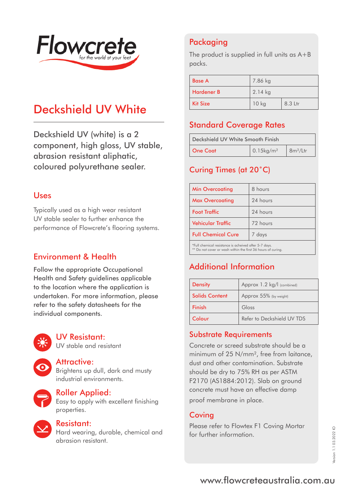

# Deckshield UV White

Deckshield UV (white) is a 2 component, high gloss, UV stable, abrasion resistant aliphatic, coloured polyurethane sealer.

#### Uses

Typically used as a high wear resistant UV stable sealer to further enhance the performance of Flowcrete's flooring systems.

### Environment & Health

Follow the appropriate Occupational Health and Safety guidelines applicable to the location where the application is undertaken. For more information, please refer to the safety datasheets for the individual components.



#### UV Resistant:

UV stable and resistant

#### Attractive:

Brightens up dull, dark and musty industrial environments.



#### Roller Applied:

Easy to apply with excellent finishing properties.



#### Resistant:

Hard wearing, durable, chemical and abrasion resistant.

# Packaging

The product is supplied in full units as A+B packs.

| <b>Base A</b>     | 7.86 kg   |         |
|-------------------|-----------|---------|
| <b>Hardener B</b> | $2.14$ kg |         |
| <b>Kit Size</b>   | $10$ kg   | 8.3 Ltr |

## Standard Coverage Rates

| Deckshield UV White Smooth Finish |                          |                                    |
|-----------------------------------|--------------------------|------------------------------------|
| One Coat                          | $0.15$ kg/m <sup>2</sup> | $\frac{1}{2}$ 8m <sup>2</sup> /Ltr |

## Curing Times (at 20˚C)

| <b>Min Overcoating</b>                                | 8 hours  |
|-------------------------------------------------------|----------|
| <b>Max Overcoating</b>                                | 24 hours |
| <b>Foot Traffic</b>                                   | 24 hours |
| Vehicular Traffic                                     | 72 hours |
| <b>Full Chemical Cure</b>                             | 7 days   |
| *Full chemical resistance is acheived after 5-7 days. |          |

\*Full chemical resistance is acheived after 5-7 days. \*\* Do not cover or wash within the first 36 hours of curing.

# Additional Information

| <b>Density</b>        | Approx 1.2 kg/l (combined) |
|-----------------------|----------------------------|
| <b>Solids Content</b> | Approx 55% (by weight)     |
| Finish                | Gloss                      |
| Colour                | Refer to Deckshield UV TDS |

#### Substrate Requirements

Concrete or screed substrate should be a minimum of 25 N/mm<sup>2</sup>, free from laitance. dust and other contamination. Substrate should be dry to 75% RH as per ASTM F2170 (AS1884:2012). Slab on ground concrete must have an effective damp proof membrane in place.

### **Coving**

Please refer to Flowtex F1 Coving Mortar for further information.

# www.flowcreteaustralia.com.au